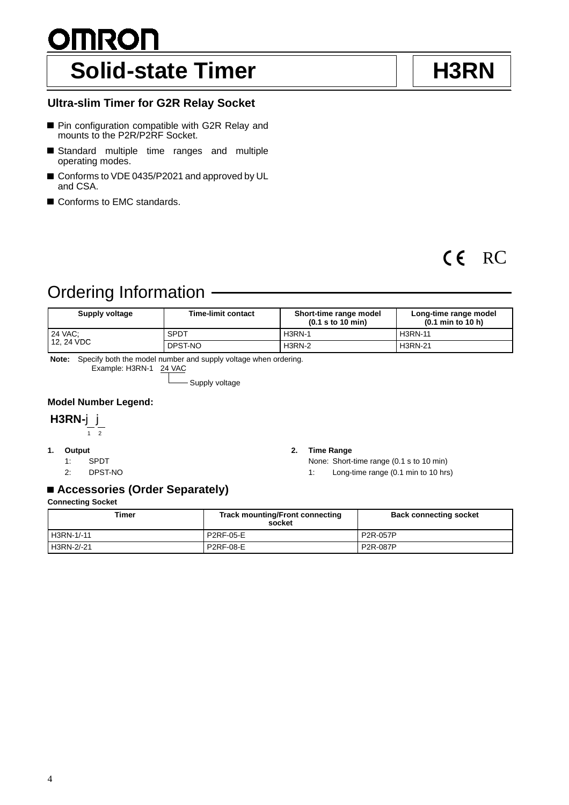# <u>OMRON</u> Solid-state Timer **H3RN**

# **Ultra-slim Timer for G2R Relay Socket**

- Pin configuration compatible with G2R Relay and mounts to the P2R/P2RF Socket.
- Standard multiple time ranges and multiple operating modes.
- Conforms to VDE 0435/P2021 and approved by UL and CSA.
- Conforms to EMC standards.

# CE RC

# Ordering Information

| Supply voltage | <b>Time-limit contact</b> | Short-time range model<br>$(0.1$ s to 10 min) | Long-time range model<br>$(0.1 \text{ min to } 10 \text{ h})$ |
|----------------|---------------------------|-----------------------------------------------|---------------------------------------------------------------|
| 24 VAC:        | <b>SPDT</b>               | <b>H3RN-1</b>                                 | <b>H3RN-11</b>                                                |
| 12.24 VDC      | DPST-NO                   | <b>H3RN-2</b>                                 | <b>H3RN-21</b>                                                |

**Note:** Specify both the model number and supply voltage when ordering. Example: H3RN-1 24 VAC

- Supply voltage

## **Model Number Legend:**

# **H3RN-**jj

 $\frac{1}{1}$  2

- **1. Output**
	- 1: SPDT
	- 2: DPST-NO

#### **2. Time Range**

None: Short-time range (0.1 s to 10 min)

1: Long-time range (0.1 min to 10 hrs)

# **Accessories (Order Separately)**

### **Connecting Socket**

| Timer      | <b>Track mounting/Front connecting</b><br>socket | <b>Back connecting socket</b> |
|------------|--------------------------------------------------|-------------------------------|
| H3RN-1/-11 | P2RF-05-E                                        | P <sub>2R</sub> -057P         |
| H3RN-2/-21 | P2RF-08-E                                        | P <sub>2</sub> R-087P         |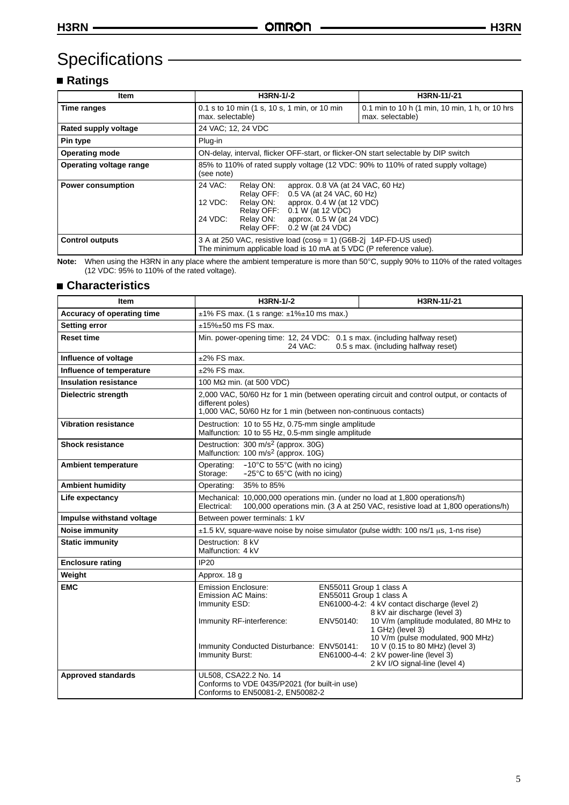# **Specifications**

# **Ratings**

| <b>Item</b>              | <b>H3RN-1/-2</b>                                                                                                                                                                                                                                                                                    | H3RN-11/-21                                                        |
|--------------------------|-----------------------------------------------------------------------------------------------------------------------------------------------------------------------------------------------------------------------------------------------------------------------------------------------------|--------------------------------------------------------------------|
| Time ranges              | 0.1 s to 10 min (1 s, 10 s, 1 min, or 10 min<br>max. selectable)                                                                                                                                                                                                                                    | 0.1 min to 10 h (1 min, 10 min, 1 h, or 10 hrs<br>max. selectable) |
| Rated supply voltage     | 24 VAC; 12, 24 VDC                                                                                                                                                                                                                                                                                  |                                                                    |
| Pin type                 | Plug-in                                                                                                                                                                                                                                                                                             |                                                                    |
| <b>Operating mode</b>    | ON-delay, interval, flicker OFF-start, or flicker-ON start selectable by DIP switch                                                                                                                                                                                                                 |                                                                    |
| Operating voltage range  | 85% to 110% of rated supply voltage (12 VDC: 90% to 110% of rated supply voltage)<br>(see note)                                                                                                                                                                                                     |                                                                    |
| <b>Power consumption</b> | 24 VAC:<br>Relay ON:<br>approx. 0.8 VA (at 24 VAC, 60 Hz)<br>Relay OFF:<br>0.5 VA (at 24 VAC, 60 Hz)<br>$12 \text{ VDC}$ :<br>Relay ON:<br>approx. $0.4 W$ (at 12 VDC)<br>0.1 W (at 12 VDC)<br>Relay OFF:<br>24 VDC:<br>approx. $0.5 W$ (at 24 VDC)<br>Relay ON:<br>0.2 W (at 24 VDC)<br>Relay OFF: |                                                                    |
| <b>Control outputs</b>   | 3 A at 250 VAC, resistive load ( $cos\phi = 1$ ) (G6B-2j 14P-FD-US used)<br>The minimum applicable load is 10 mA at 5 VDC (P reference value).                                                                                                                                                      |                                                                    |

**Note:** When using the H3RN in any place where the ambient temperature is more than 50"C, supply 90% to 110% of the rated voltages (12 VDC: 95% to 110% of the rated voltage).

## **Characteristics**

| <b>Item</b>                  | H3RN-1/-2<br>H3RN-11/-21                                                                                                                                                           |           |                                                                                                                                                                                                                                                                                                                                                       |
|------------------------------|------------------------------------------------------------------------------------------------------------------------------------------------------------------------------------|-----------|-------------------------------------------------------------------------------------------------------------------------------------------------------------------------------------------------------------------------------------------------------------------------------------------------------------------------------------------------------|
| Accuracy of operating time   | $\pm$ 1% FS max. (1 s range: $\pm$ 1% $\pm$ 10 ms max.)                                                                                                                            |           |                                                                                                                                                                                                                                                                                                                                                       |
| <b>Setting error</b>         | $±15\%±50$ ms FS max.                                                                                                                                                              |           |                                                                                                                                                                                                                                                                                                                                                       |
| <b>Reset time</b>            | Min. power-opening time: 12, 24 VDC: 0.1 s max. (including halfway reset)<br>24 VAC:<br>0.5 s max. (including halfway reset)                                                       |           |                                                                                                                                                                                                                                                                                                                                                       |
| Influence of voltage         | $±2\%$ FS max.                                                                                                                                                                     |           |                                                                                                                                                                                                                                                                                                                                                       |
| Influence of temperature     | $±2\%$ FS max.                                                                                                                                                                     |           |                                                                                                                                                                                                                                                                                                                                                       |
| <b>Insulation resistance</b> | 100 MΩ min. (at 500 VDC)                                                                                                                                                           |           |                                                                                                                                                                                                                                                                                                                                                       |
| Dielectric strength          | 2,000 VAC, 50/60 Hz for 1 min (between operating circuit and control output, or contacts of<br>different poles)<br>1,000 VAC, 50/60 Hz for 1 min (between non-continuous contacts) |           |                                                                                                                                                                                                                                                                                                                                                       |
| <b>Vibration resistance</b>  | Destruction: 10 to 55 Hz, 0.75-mm single amplitude<br>Malfunction: 10 to 55 Hz, 0.5-mm single amplitude                                                                            |           |                                                                                                                                                                                                                                                                                                                                                       |
| <b>Shock resistance</b>      | Destruction: 300 m/s <sup>2</sup> (approx. 30G)<br>Malfunction: 100 m/s <sup>2</sup> (approx. 10G)                                                                                 |           |                                                                                                                                                                                                                                                                                                                                                       |
| <b>Ambient temperature</b>   | $-10^{\circ}$ C to 55 $^{\circ}$ C (with no icing)<br>Operating:<br>$-25^{\circ}$ C to 65 $^{\circ}$ C (with no icing)<br>Storage:                                                 |           |                                                                                                                                                                                                                                                                                                                                                       |
| <b>Ambient humidity</b>      | 35% to 85%<br>Operating:                                                                                                                                                           |           |                                                                                                                                                                                                                                                                                                                                                       |
| Life expectancy              | Mechanical: 10,000,000 operations min. (under no load at 1,800 operations/h)<br>100,000 operations min. (3 A at 250 VAC, resistive load at 1,800 operations/h)<br>Electrical:      |           |                                                                                                                                                                                                                                                                                                                                                       |
| Impulse withstand voltage    | Between power terminals: 1 kV                                                                                                                                                      |           |                                                                                                                                                                                                                                                                                                                                                       |
| <b>Noise immunity</b>        |                                                                                                                                                                                    |           | ±1.5 kV, square-wave noise by noise simulator (pulse width: 100 ns/1 µs, 1-ns rise)                                                                                                                                                                                                                                                                   |
| <b>Static immunity</b>       | Destruction: 8 kV<br>Malfunction: 4 kV                                                                                                                                             |           |                                                                                                                                                                                                                                                                                                                                                       |
| <b>Enclosure rating</b>      | <b>IP20</b>                                                                                                                                                                        |           |                                                                                                                                                                                                                                                                                                                                                       |
| Weight                       | Approx. 18 g                                                                                                                                                                       |           |                                                                                                                                                                                                                                                                                                                                                       |
| <b>EMC</b>                   | <b>Emission Enclosure:</b><br>Emission AC Mains:<br>Immunity ESD:<br>Immunity RF-interference:<br>Immunity Conducted Disturbance: ENV50141:<br>Immunity Burst:                     | ENV50140: | EN55011 Group 1 class A<br>EN55011 Group 1 class A<br>EN61000-4-2: 4 kV contact discharge (level 2)<br>8 kV air discharge (level 3)<br>10 V/m (amplitude modulated, 80 MHz to<br>1 GHz) (level 3)<br>10 V/m (pulse modulated, 900 MHz)<br>10 V (0.15 to 80 MHz) (level 3)<br>EN61000-4-4: 2 kV power-line (level 3)<br>2 kV I/O signal-line (level 4) |
| <b>Approved standards</b>    | UL508, CSA22.2 No. 14<br>Conforms to VDE 0435/P2021 (for built-in use)<br>Conforms to EN50081-2, EN50082-2                                                                         |           |                                                                                                                                                                                                                                                                                                                                                       |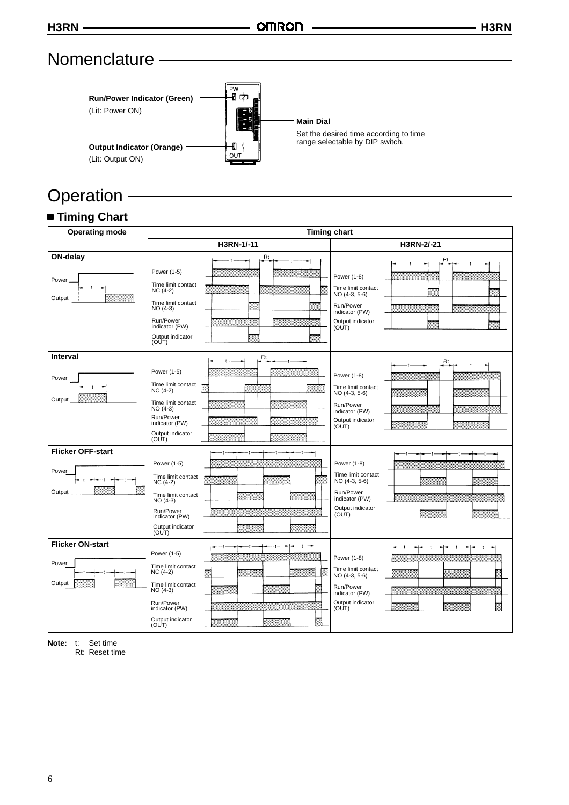# **Nomenclature**



# Operation -

# **Timing Chart**

| <b>Operating mode</b>                       | <b>Timing chart</b>                                                                                                                                        |                                                                                                                      |  |
|---------------------------------------------|------------------------------------------------------------------------------------------------------------------------------------------------------------|----------------------------------------------------------------------------------------------------------------------|--|
|                                             | H3RN-1/-11<br>H3RN-2/-21                                                                                                                                   |                                                                                                                      |  |
| ON-delay<br>Power<br>Output                 | <b>Rt</b><br>Power (1-5)<br>Time limit contact<br>$NC(4-2)$<br>Time limit contact<br>$NO(4-3)$<br>Run/Power<br>indicator (PW)<br>Output indicator<br>(OUT) | Rt<br>Power (1-8)<br>Time limit contact<br>NO (4-3, 5-6)<br>Run/Power<br>indicator (PW)<br>Output indicator<br>(OUT) |  |
| <b>Interval</b><br>Power<br>Output          | Rt<br>Power (1-5)<br>Time limit contact<br>$NC(4-2)$<br>Time limit contact<br>$NO(4-3)$<br>Run/Power<br>indicator (PW)<br>Output indicator<br>(OUT)        | Rt<br>Power (1-8)<br>Time limit contact<br>NO (4-3, 5-6)<br>Run/Power<br>indicator (PW)<br>Output indicator<br>(OUT) |  |
| <b>Flicker OFF-start</b><br>Power<br>Output | Power (1-5)<br>Time limit contact<br>$NC(4-2)$<br>Time limit contact<br>$NO(4-3)$<br>Run/Power<br>indicator (PW)<br>Output indicator<br>(OUT)              | Power (1-8)<br>Time limit contact<br>NO (4-3, 5-6)<br>ma<br>Run/Power<br>indicator (PW)<br>Output indicator<br>(OUT) |  |
| <b>Flicker ON-start</b><br>Power<br>Output  | Power (1-5)<br>Time limit contact<br>$NC(4-2)$<br>Time limit contact<br>NO (4-3)<br>Run/Power<br>indicator (PW)<br>Output indicator<br>(OUT)               | Power (1-8)<br>Time limit contact<br>NO (4-3, 5-6)<br>Run/Power<br>indicator (PW)<br>Output indicator<br>(OUT)       |  |

**Note:** t: Set time

Rt: Reset time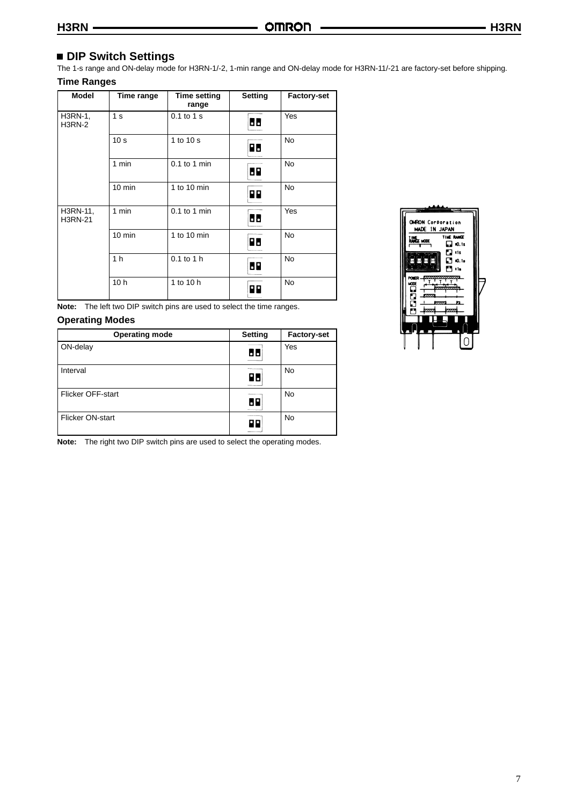# **DIP Switch Settings**

The 1-s range and ON-delay mode for H3RN-1/-2, 1-min range and ON-delay mode for H3RN-11/-21 are factory-set before shipping. **Time Ranges**

| <b>Model</b>               | Time range       | <b>Time setting</b><br>range | Setting | <b>Factory-set</b> |
|----------------------------|------------------|------------------------------|---------|--------------------|
| H3RN-1,<br><b>H3RN-2</b>   | 1 <sub>s</sub>   | 0.1 to 1 s                   | 66      | Yes                |
|                            | 10 <sub>s</sub>  | 1 to 10 s                    | R٥      | <b>No</b>          |
|                            | 1 min            | $0.1$ to 1 min               | 69      | <b>No</b>          |
|                            | $10 \text{ min}$ | 1 to 10 min                  | PP.     | <b>No</b>          |
| H3RN-11,<br><b>H3RN-21</b> | 1 min            | $0.1$ to 1 min               | 66      | Yes                |
|                            | $10 \text{ min}$ | 1 to 10 min                  | R٥      | <b>No</b>          |
|                            | 1 <sub>h</sub>   | $0.1$ to $1$ h               | 69      | <b>No</b>          |
|                            | 10 <sub>h</sub>  | 1 to 10 h                    | ΡР      | <b>No</b>          |

**Note:** The left two DIP switch pins are used to select the time ranges.

### **Operating Modes**

| <b>Operating mode</b> | Setting | <b>Factory-set</b> |
|-----------------------|---------|--------------------|
| ON-delay              | ы       | Yes                |
| Interval              | 86      | No                 |
| Flicker OFF-start     | 68      | <b>No</b>          |
| Flicker ON-start      | 99      | No                 |

**Note:** The right two DIP switch pins are used to select the operating modes.

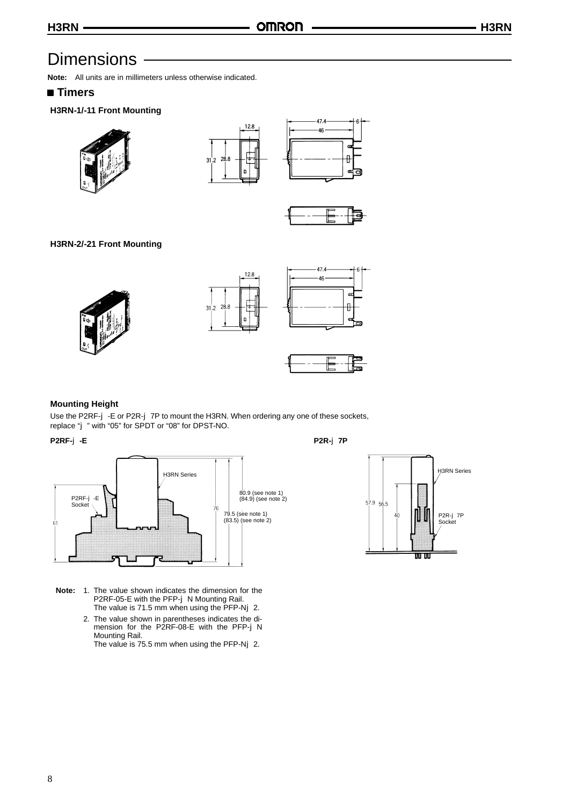# **Dimensions**

**Note:** All units are in millimeters unless otherwise indicated.

# **Timers**

## **H3RN-1/-11 Front Mounting**









# **H3RN-2/-21 Front Mounting**









### **Mounting Height**

Use the P2RF-j-E or P2R-j-7P to mount the H3RN. When ordering any one of these sockets, replace "j" with "05" for SPDT or "08" for DPST-NO.

#### **P2RF-**j**-E P2R-**j**7P**



- **Note:** 1. The value shown indicates the dimension for the P2RF-05-E with the PFP-j N Mounting Rail. The value is  $71.5$  mm when using the PFP-Nj 2.
	- 2. The value shown in parentheses indicates the dimension for the P2RF-08-E with the PFP-j N Mounting Rail. The value is 75.5 mm when using the PFP-Nj 2.

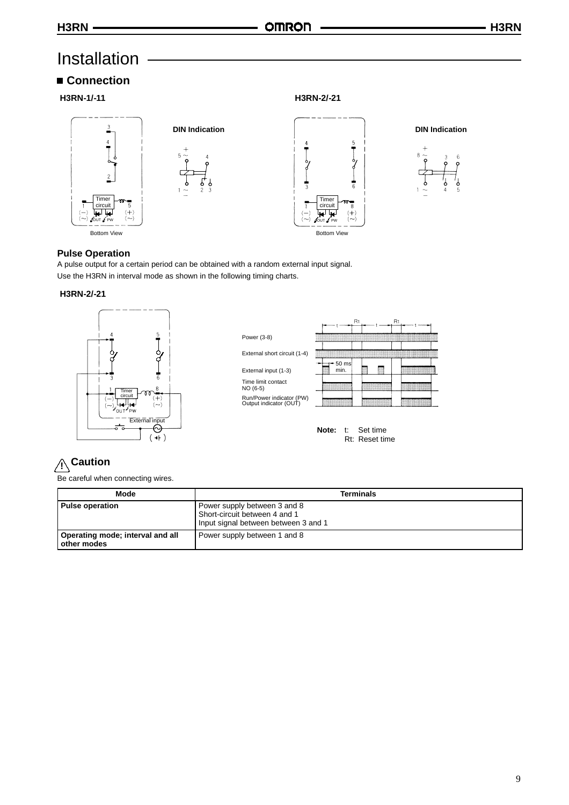# Installation

# **Connection**

**H3RN-1/-11 H3RN-2/-21**











### **Pulse Operation**

A pulse output for a certain period can be obtained with a random external input signal. Use the H3RN in interval mode as shown in the following timing charts.

### **H3RN-2/-21**





Rt: Reset time

# **! Caution**

Be careful when connecting wires.

| Mode                                            | <b>Terminals</b>                                                                                      |
|-------------------------------------------------|-------------------------------------------------------------------------------------------------------|
| <b>Pulse operation</b>                          | Power supply between 3 and 8<br>Short-circuit between 4 and 1<br>Input signal between between 3 and 1 |
| Operating mode; interval and all<br>other modes | Power supply between 1 and 8                                                                          |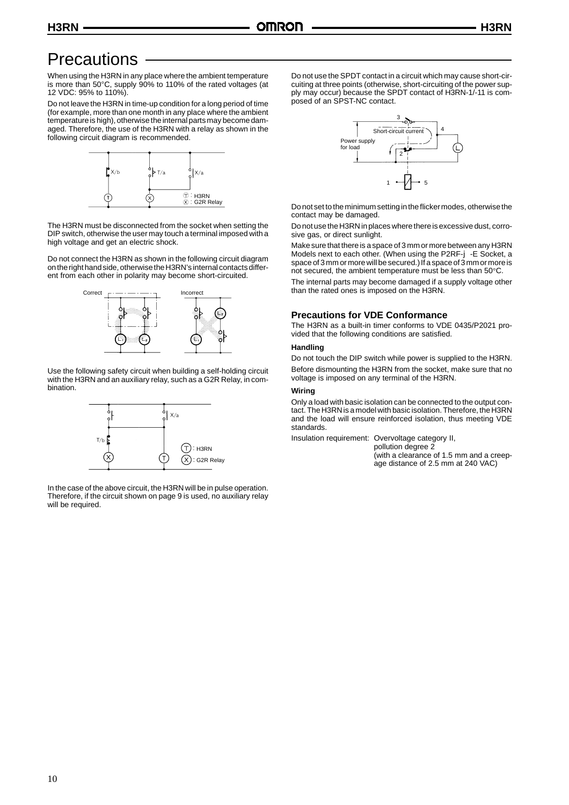# **Precautions**

When using the H3RN in any place where the ambient temperature is more than 50"C, supply 90% to 110% of the rated voltages (at 12 VDC: 95% to 110%).

Do not leave the H3RN in time-up condition for a long period of time (for example, more than one month in any place where the ambient temperature is high), otherwise the internal parts may become damaged. Therefore, the use of the H3RN with a relay as shown in the following circuit diagram is recommended.



The H3RN must be disconnected from the socket when setting the DIP switch, otherwise the user may touch a terminal imposed with a high voltage and get an electric shock.

Do not connect the H3RN as shown in the following circuit diagram onthe right hand side, otherwisethe H3RN's internal contacts different from each other in polarity may become short-circuited.



Use the following safety circuit when building a self-holding circuit with the H3RN and an auxiliary relay, such as a G2R Relay, in combination.



In the case of the above circuit, the H3RN will be in pulse operation. Therefore, if the circuit shown on page 9 is used, no auxiliary relay will be required.

Do not use the SPDT contact in a circuit which may cause short-circuiting at three points (otherwise, short-circuiting of the power supply may occur) because the SPDT contact of H3RN-1/-11 is composed of an SPST-NC contact.



Do not set to the minimum setting in the flicker modes, otherwise the contact may be damaged.

Do not use the H3RN in places where there is excessive dust, corrosive gas, or direct sunlight.

Make sure that there is a space of 3 mm or more between any H3RN Models next to each other. (When using the P2RF-j -E Socket, a space of 3 mm or more will be secured.) If a space of 3 mm or more is not secured, the ambient temperature must be less than 50"C.

The internal parts may become damaged if a supply voltage other than the rated ones is imposed on the H3RN.

### **Precautions for VDE Conformance**

The H3RN as a built-in timer conforms to VDE 0435/P2021 provided that the following conditions are satisfied.

#### **Handling**

Do not touch the DIP switch while power is supplied to the H3RN. Before dismounting the H3RN from the socket, make sure that no voltage is imposed on any terminal of the H3RN.

#### **Wiring**

Only a load with basic isolation can be connected to the output contact. The H3RN is a model with basic isolation. Therefore, the H3RN and the load will ensure reinforced isolation, thus meeting VDE standards.

Insulation requirement: Overvoltage category II,

pollution degree 2 (with a clearance of 1.5 mm and a creep-

age distance of 2.5 mm at 240 VAC)